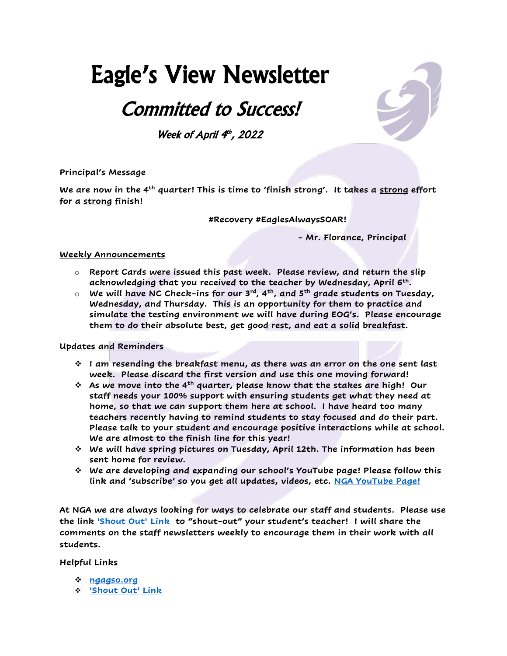# Eagle's View Newsletter

# Committed to Success!

Week of April  $4<sup>th</sup>$ , 2022

## **Principal's Message**

**We are now in the 4th quarter! This is time to 'finish strong'. It takes a strong effort for a strong finish!** 

**#Recovery #EaglesAlwaysSOAR!**

**- Mr. Florance, Principal**

#### **Weekly Announcements**

- o **Report Cards were issued this past week. Please review, and return the slip acknowledging that you received to the teacher by Wednesday, April 6th .**
- o **We will have NC Check-ins for our 3rd, 4th, and 5th grade students on Tuesday, Wednesday, and Thursday. This is an opportunity for them to practice and simulate the testing environment we will have during EOG's. Please encourage them to do their absolute best, get good rest, and eat a solid breakfast.**

#### **Updates and Reminders**

- ❖ **I am resending the breakfast menu, as there was an error on the one sent last week. Please discard the first version and use this one moving forward!**
- ❖ **As we move into the 4th quarter, please know that the stakes are high! Our staff needs your 100% support with ensuring students get what they need at home, so that we can support them here at school. I have heard too many teachers recently having to remind students to stay focused and do their part. Please talk to your student and encourage positive interactions while at school. We are almost to the finish line for this year!**
- ❖ **We will have spring pictures on Tuesday, April 12th. The information has been sent home for review.**
- ❖ **We are developing and expanding our school's YouTube page! Please follow this link and 'subscribe' so you get all updates, videos, etc. [NGA YouTube Page!](https://www.youtube.com/channel/UCSmrD5Gm6YolwrncrO6bIxQ)**

**At NGA we are always looking for ways to celebrate our staff and students. Please use the link ['Shout Out' Link](https://forms.gle/KVBU8eZ9eJAmEEPS6) to "shout-out" your student's teacher! I will share the comments on the staff newsletters weekly to encourage them in their work with all students.** 

#### **Helpful Links**

- ❖ **[ngagso.org](http://ngagso.org/)**
- ❖ **['Shout Out' Link](https://forms.gle/KVBU8eZ9eJAmEEPS6)**